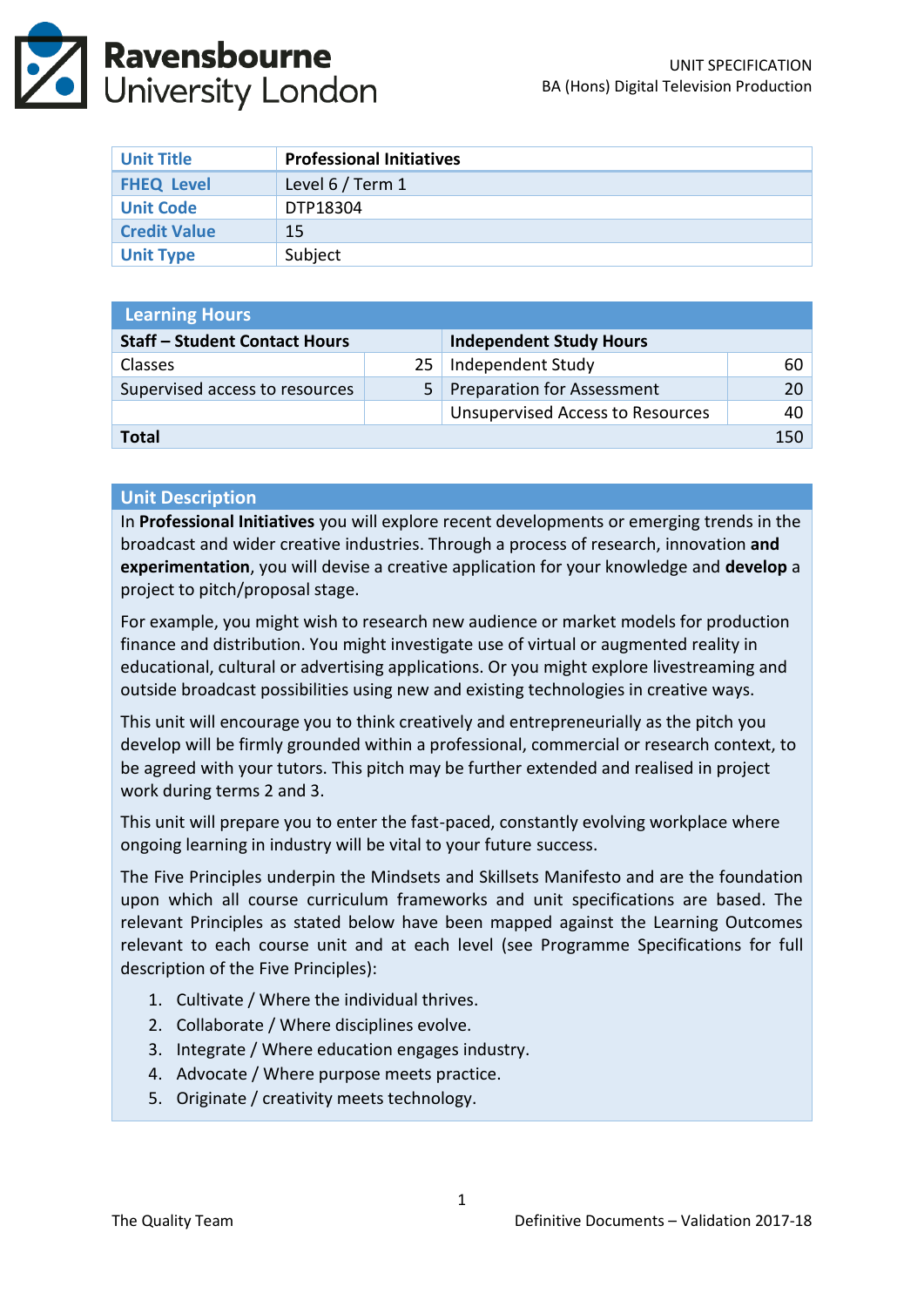

| <b>Unit Title</b>   | <b>Professional Initiatives</b> |
|---------------------|---------------------------------|
| <b>FHEQ Level</b>   | Level 6 / Term 1                |
| <b>Unit Code</b>    | DTP18304                        |
| <b>Credit Value</b> | 15                              |
| <b>Unit Type</b>    | Subject                         |

| <b>Learning Hours</b>                |    |                                         |      |  |  |
|--------------------------------------|----|-----------------------------------------|------|--|--|
| <b>Staff - Student Contact Hours</b> |    | <b>Independent Study Hours</b>          |      |  |  |
| <b>Classes</b>                       | 25 | Independent Study                       | 60   |  |  |
| Supervised access to resources       | 5. | <b>Preparation for Assessment</b>       | 20 I |  |  |
|                                      |    | <b>Unsupervised Access to Resources</b> | 40   |  |  |
| Total                                |    |                                         |      |  |  |

#### **Unit Description**

In **Professional Initiatives** you will explore recent developments or emerging trends in the broadcast and wider creative industries. Through a process of research, innovation **and experimentation**, you will devise a creative application for your knowledge and **develop** a project to pitch/proposal stage.

For example, you might wish to research new audience or market models for production finance and distribution. You might investigate use of virtual or augmented reality in educational, cultural or advertising applications. Or you might explore livestreaming and outside broadcast possibilities using new and existing technologies in creative ways.

This unit will encourage you to think creatively and entrepreneurially as the pitch you develop will be firmly grounded within a professional, commercial or research context, to be agreed with your tutors. This pitch may be further extended and realised in project work during terms 2 and 3.

This unit will prepare you to enter the fast-paced, constantly evolving workplace where ongoing learning in industry will be vital to your future success.

The Five Principles underpin the Mindsets and Skillsets Manifesto and are the foundation upon which all course curriculum frameworks and unit specifications are based. The relevant Principles as stated below have been mapped against the Learning Outcomes relevant to each course unit and at each level (see Programme Specifications for full description of the Five Principles):

- 1. Cultivate / Where the individual thrives.
- 2. Collaborate / Where disciplines evolve.
- 3. Integrate / Where education engages industry.
- 4. Advocate / Where purpose meets practice.
- 5. Originate / creativity meets technology.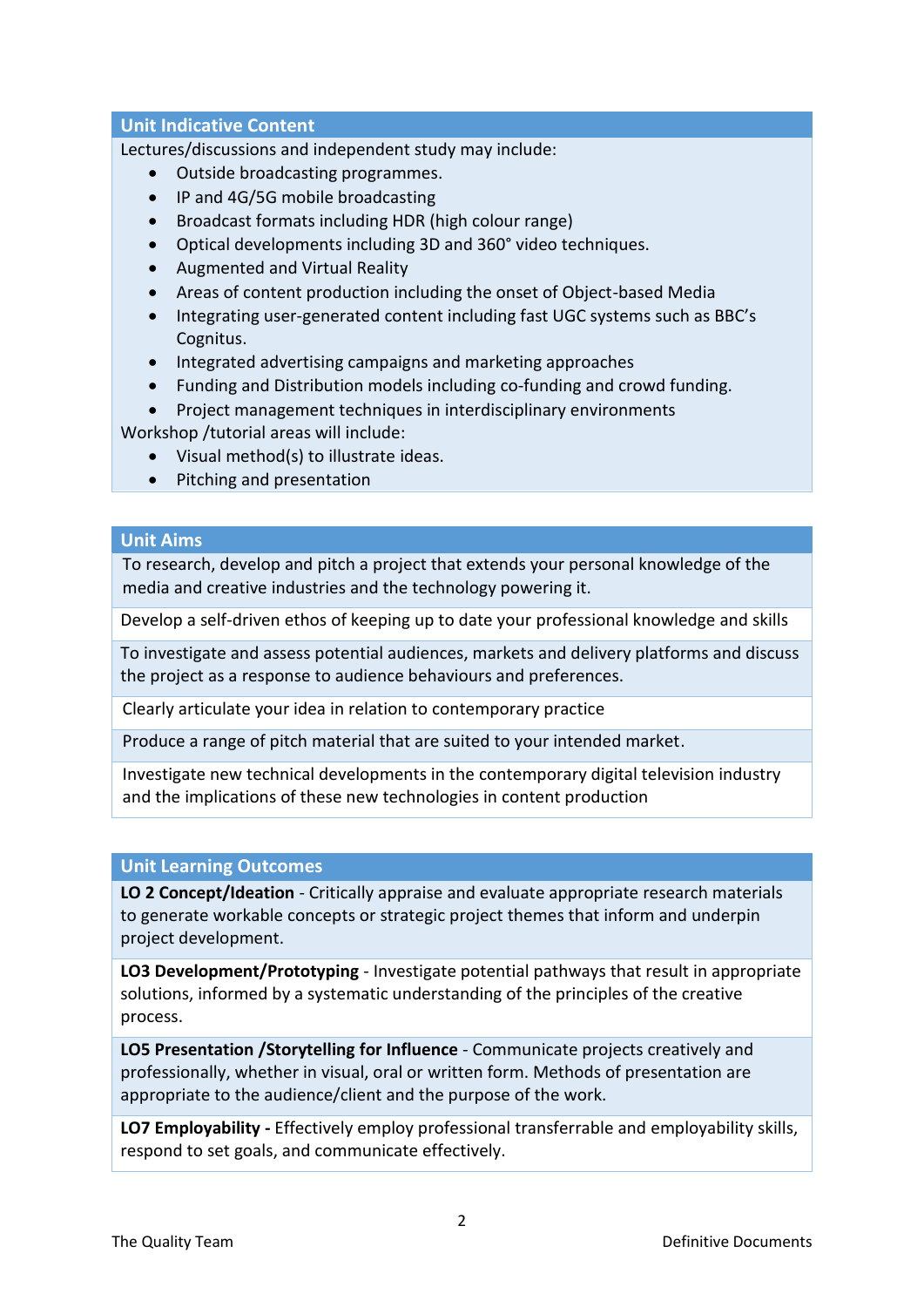# **Unit Indicative Content**

Lectures/discussions and independent study may include:

- Outside broadcasting programmes.
- IP and 4G/5G mobile broadcasting
- Broadcast formats including HDR (high colour range)
- Optical developments including 3D and 360° video techniques.
- Augmented and Virtual Reality
- Areas of content production including the onset of Object-based Media
- Integrating user-generated content including fast UGC systems such as BBC's Cognitus.
- Integrated advertising campaigns and marketing approaches
- Funding and Distribution models including co-funding and crowd funding.
- Project management techniques in interdisciplinary environments

Workshop /tutorial areas will include:

- Visual method(s) to illustrate ideas.
- Pitching and presentation

### **Unit Aims**

To research, develop and pitch a project that extends your personal knowledge of the media and creative industries and the technology powering it.

Develop a self-driven ethos of keeping up to date your professional knowledge and skills

To investigate and assess potential audiences, markets and delivery platforms and discuss the project as a response to audience behaviours and preferences.

Clearly articulate your idea in relation to contemporary practice

Produce a range of pitch material that are suited to your intended market.

Investigate new technical developments in the contemporary digital television industry and the implications of these new technologies in content production

### **Unit Learning Outcomes**

**LO 2 Concept/Ideation** - Critically appraise and evaluate appropriate research materials to generate workable concepts or strategic project themes that inform and underpin project development.

**LO3 Development/Prototyping** - Investigate potential pathways that result in appropriate solutions, informed by a systematic understanding of the principles of the creative process.

**LO5 Presentation /Storytelling for Influence** - Communicate projects creatively and professionally, whether in visual, oral or written form. Methods of presentation are appropriate to the audience/client and the purpose of the work.

**LO7 Employability -** Effectively employ professional transferrable and employability skills, respond to set goals, and communicate effectively.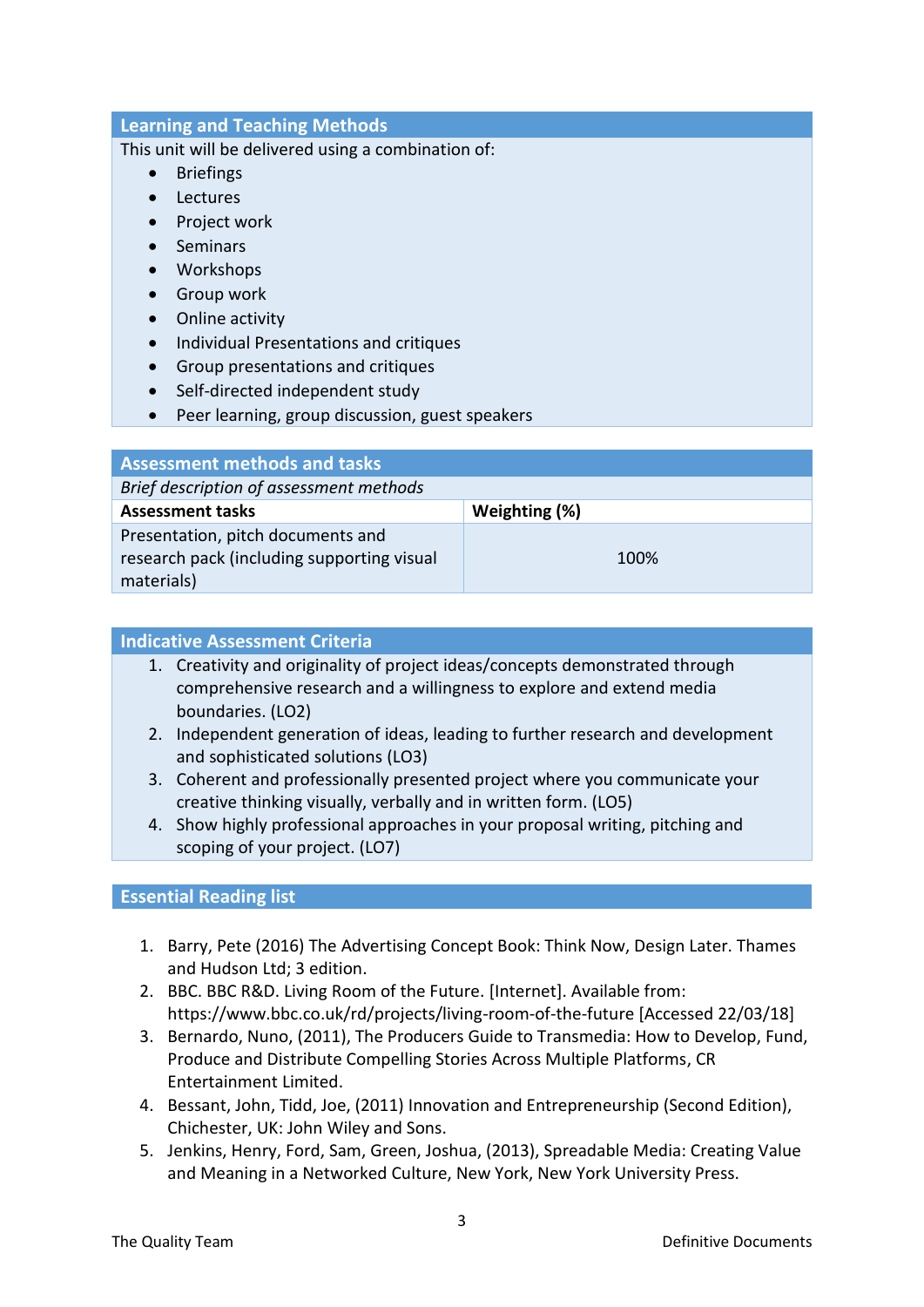# **Learning and Teaching Methods**

This unit will be delivered using a combination of:

- Briefings
- Lectures
- Project work
- Seminars
- Workshops
- Group work
- Online activity
- Individual Presentations and critiques
- Group presentations and critiques
- Self-directed independent study
- Peer learning, group discussion, guest speakers

| <b>Assessment methods and tasks</b>        |               |  |
|--------------------------------------------|---------------|--|
| Brief description of assessment methods    |               |  |
| <b>Assessment tasks</b>                    | Weighting (%) |  |
| Presentation, pitch documents and          |               |  |
| research pack (including supporting visual | 100%          |  |
| materials)                                 |               |  |

### **Indicative Assessment Criteria**

- 1. Creativity and originality of project ideas/concepts demonstrated through comprehensive research and a willingness to explore and extend media boundaries. (LO2)
- 2. Independent generation of ideas, leading to further research and development and sophisticated solutions (LO3)
- 3. Coherent and professionally presented project where you communicate your creative thinking visually, verbally and in written form. (LO5)
- 4. Show highly professional approaches in your proposal writing, pitching and scoping of your project. (LO7)

# **Essential Reading list**

- 1. Barry, Pete (2016) The Advertising Concept Book: Think Now, Design Later. Thames and Hudson Ltd; 3 edition.
- 2. BBC. BBC R&D. Living Room of the Future. [Internet]. Available from: https://www.bbc.co.uk/rd/projects/living-room-of-the-future [Accessed 22/03/18]
- 3. Bernardo, Nuno, (2011), The Producers Guide to Transmedia: How to Develop, Fund, Produce and Distribute Compelling Stories Across Multiple Platforms, CR Entertainment Limited.
- 4. Bessant, John, Tidd, Joe, (2011) Innovation and Entrepreneurship (Second Edition), Chichester, UK: John Wiley and Sons.
- 5. Jenkins, Henry, Ford, Sam, Green, Joshua, (2013), Spreadable Media: Creating Value and Meaning in a Networked Culture, New York, New York University Press.